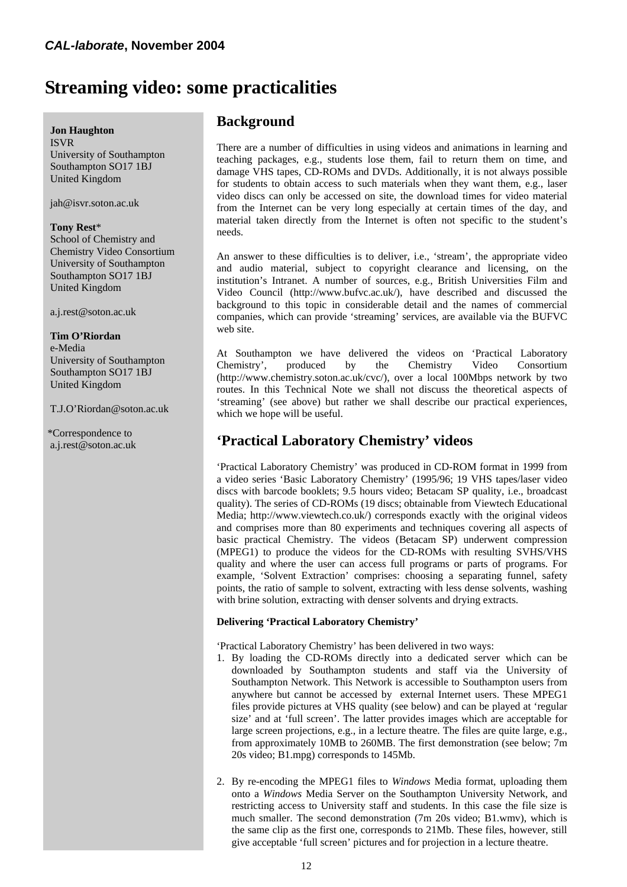# **Streaming video: some practicalities**

### **Jon Haughton**

 ISVR University of Southampton Southampton SO17 1BJ United Kingdom

jah@isvr.soton.ac.uk

#### **Tony Rest**\*

 School of Chemistry and Chemistry Video Consortium University of Southampton Southampton SO17 1BJ United Kingdom

a.j.rest@soton.ac.uk

#### **Tim O'Riordan**

 e-Media University of Southampton Southampton SO17 1BJ United Kingdom

T.J.O'Riordan@soton.ac.uk

 \*Correspondence to a.j.rest@soton.ac.uk

### **Background**

There are a number of difficulties in using videos and animations in learning and teaching packages, e.g., students lose them, fail to return them on time, and damage VHS tapes, CD-ROMs and DVDs. Additionally, it is not always possible for students to obtain access to such materials when they want them, e.g., laser video discs can only be accessed on site, the download times for video material from the Internet can be very long especially at certain times of the day, and material taken directly from the Internet is often not specific to the student's needs.

An answer to these difficulties is to deliver, i.e., 'stream', the appropriate video and audio material, subject to copyright clearance and licensing, on the institution's Intranet. A number of sources, e.g., British Universities Film and Video Council (http://www.bufvc.ac.uk/), have described and discussed the background to this topic in considerable detail and the names of commercial companies, which can provide 'streaming' services, are available via the BUFVC web site.

At Southampton we have delivered the videos on 'Practical Laboratory Chemistry', produced by the Chemistry Video Consortium (http://www.chemistry.soton.ac.uk/cvc/), over a local 100Mbps network by two routes. In this Technical Note we shall not discuss the theoretical aspects of 'streaming' (see above) but rather we shall describe our practical experiences, which we hope will be useful.

### **'Practical Laboratory Chemistry' videos**

'Practical Laboratory Chemistry' was produced in CD-ROM format in 1999 from a video series 'Basic Laboratory Chemistry' (1995/96; 19 VHS tapes/laser video discs with barcode booklets; 9.5 hours video; Betacam SP quality, i.e., broadcast quality). The series of CD-ROMs (19 discs; obtainable from Viewtech Educational Media; http://www.viewtech.co.uk/) corresponds exactly with the original videos and comprises more than 80 experiments and techniques covering all aspects of basic practical Chemistry. The videos (Betacam SP) underwent compression (MPEG1) to produce the videos for the CD-ROMs with resulting SVHS/VHS quality and where the user can access full programs or parts of programs. For example, 'Solvent Extraction' comprises: choosing a separating funnel, safety points, the ratio of sample to solvent, extracting with less dense solvents, washing with brine solution, extracting with denser solvents and drying extracts.

### **Delivering 'Practical Laboratory Chemistry'**

'Practical Laboratory Chemistry' has been delivered in two ways:

- 1. By loading the CD-ROMs directly into a dedicated server which can be downloaded by Southampton students and staff via the University of Southampton Network. This Network is accessible to Southampton users from anywhere but cannot be accessed by external Internet users. These MPEG1 files provide pictures at VHS quality (see below) and can be played at 'regular size' and at 'full screen'. The latter provides images which are acceptable for large screen projections, e.g., in a lecture theatre. The files are quite large, e.g., from approximately 10MB to 260MB. The first demonstration (see below; 7m 20s video; B1.mpg) corresponds to 145Mb.
- 2. By re-encoding the MPEG1 files to *Windows* Media format, uploading them onto a *Windows* Media Server on the Southampton University Network, and restricting access to University staff and students. In this case the file size is much smaller. The second demonstration (7m 20s video; B1.wmv), which is the same clip as the first one, corresponds to 21Mb. These files, however, still give acceptable 'full screen' pictures and for projection in a lecture theatre.